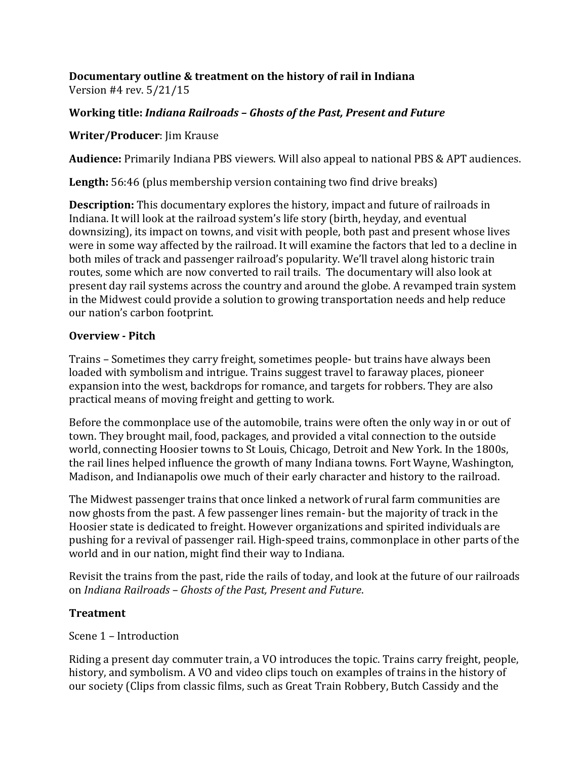# **Documentary outline & treatment on the history of rail in Indiana**

Version #4 rev. 5/21/15

# Working title: *Indiana Railroads - Ghosts of the Past, Present and Future*

## **Writer/Producer:** Jim Krause

**Audience:** Primarily Indiana PBS viewers. Will also appeal to national PBS & APT audiences.

**Length:** 56:46 (plus membership version containing two find drive breaks)

**Description:** This documentary explores the history, impact and future of railroads in Indiana. It will look at the railroad system's life story (birth, heyday, and eventual downsizing), its impact on towns, and visit with people, both past and present whose lives were in some way affected by the railroad. It will examine the factors that led to a decline in both miles of track and passenger railroad's popularity. We'll travel along historic train routes, some which are now converted to rail trails. The documentary will also look at present day rail systems across the country and around the globe. A revamped train system in the Midwest could provide a solution to growing transportation needs and help reduce our nation's carbon footprint.

## **Overview - Pitch**

Trains – Sometimes they carry freight, sometimes people- but trains have always been loaded with symbolism and intrigue. Trains suggest travel to faraway places, pioneer expansion into the west, backdrops for romance, and targets for robbers. They are also practical means of moving freight and getting to work.

Before the commonplace use of the automobile, trains were often the only way in or out of town. They brought mail, food, packages, and provided a vital connection to the outside world, connecting Hoosier towns to St Louis, Chicago, Detroit and New York. In the 1800s, the rail lines helped influence the growth of many Indiana towns. Fort Wayne, Washington, Madison, and Indianapolis owe much of their early character and history to the railroad.

The Midwest passenger trains that once linked a network of rural farm communities are now ghosts from the past. A few passenger lines remain- but the majority of track in the Hoosier state is dedicated to freight. However organizations and spirited individuals are pushing for a revival of passenger rail. High-speed trains, commonplace in other parts of the world and in our nation, might find their way to Indiana.

Revisit the trains from the past, ride the rails of today, and look at the future of our railroads on *Indiana Railroads – Ghosts of the Past, Present and Future*.

## **Treatment**

Scene 1 – Introduction

Riding a present day commuter train, a VO introduces the topic. Trains carry freight, people, history, and symbolism. A VO and video clips touch on examples of trains in the history of our society (Clips from classic films, such as Great Train Robbery, Butch Cassidy and the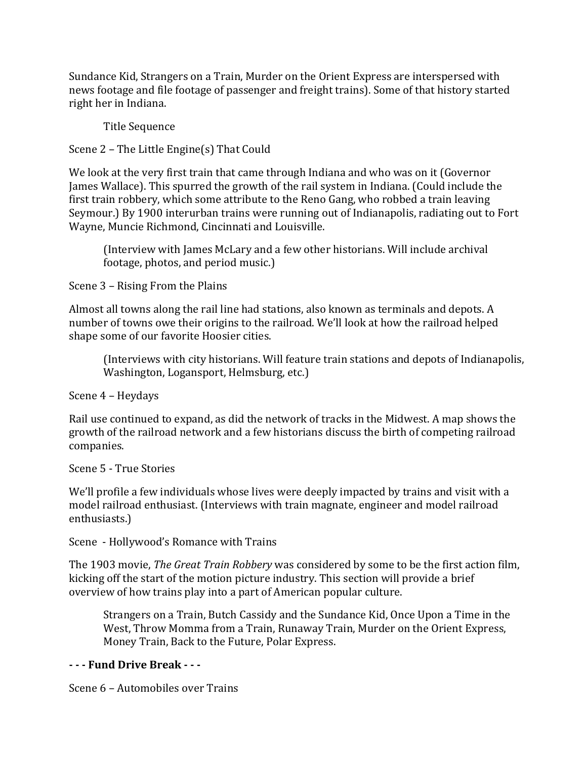Sundance Kid, Strangers on a Train, Murder on the Orient Express are interspersed with news footage and file footage of passenger and freight trains). Some of that history started right her in Indiana.

Title Sequence

Scene  $2$  – The Little Engine(s) That Could

We look at the very first train that came through Indiana and who was on it (Governor James Wallace). This spurred the growth of the rail system in Indiana. (Could include the first train robbery, which some attribute to the Reno Gang, who robbed a train leaving Seymour.) By 1900 interurban trains were running out of Indianapolis, radiating out to Fort Wayne, Muncie Richmond, Cincinnati and Louisville.

(Interview with James McLary and a few other historians. Will include archival footage, photos, and period music.)

Scene 3 – Rising From the Plains

Almost all towns along the rail line had stations, also known as terminals and depots. A number of towns owe their origins to the railroad. We'll look at how the railroad helped shape some of our favorite Hoosier cities.

(Interviews with city historians. Will feature train stations and depots of Indianapolis, Washington, Logansport, Helmsburg, etc.)

Scene 4 - Heydays

Rail use continued to expand, as did the network of tracks in the Midwest. A map shows the growth of the railroad network and a few historians discuss the birth of competing railroad companies.

Scene 5 - True Stories

We'll profile a few individuals whose lives were deeply impacted by trains and visit with a model railroad enthusiast. (Interviews with train magnate, engineer and model railroad enthusiasts.)

Scene - Hollywood's Romance with Trains

The 1903 movie, *The Great Train Robbery* was considered by some to be the first action film, kicking off the start of the motion picture industry. This section will provide a brief overview of how trains play into a part of American popular culture.

Strangers on a Train, Butch Cassidy and the Sundance Kid, Once Upon a Time in the West, Throw Momma from a Train, Runaway Train, Murder on the Orient Express, Money Train, Back to the Future, Polar Express.

#### **- - - Fund Drive Break - - -**

Scene 6 – Automobiles over Trains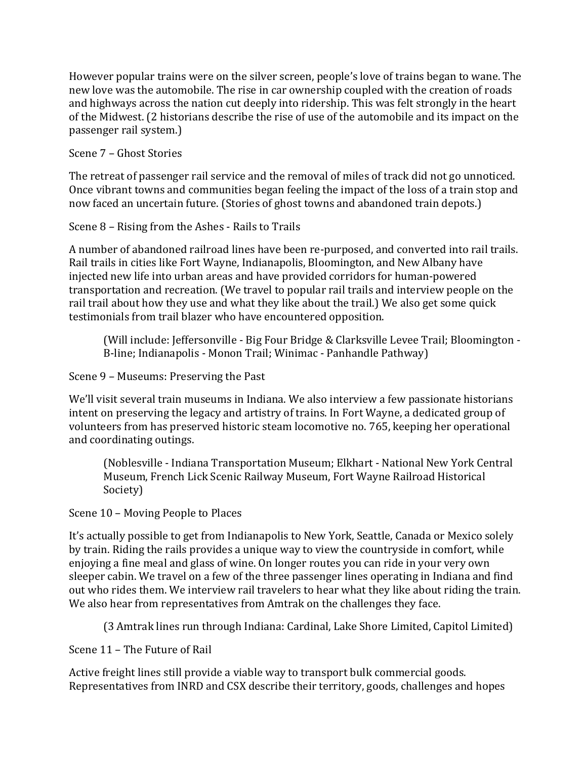However popular trains were on the silver screen, people's love of trains began to wane. The new love was the automobile. The rise in car ownership coupled with the creation of roads and highways across the nation cut deeply into ridership. This was felt strongly in the heart of the Midwest. (2 historians describe the rise of use of the automobile and its impact on the passenger rail system.)

Scene 7 - Ghost Stories

The retreat of passenger rail service and the removal of miles of track did not go unnoticed. Once vibrant towns and communities began feeling the impact of the loss of a train stop and now faced an uncertain future. (Stories of ghost towns and abandoned train depots.)

Scene  $8$  – Rising from the Ashes - Rails to Trails

A number of abandoned railroad lines have been re-purposed, and converted into rail trails. Rail trails in cities like Fort Wayne, Indianapolis, Bloomington, and New Albany have injected new life into urban areas and have provided corridors for human-powered transportation and recreation. (We travel to popular rail trails and interview people on the rail trail about how they use and what they like about the trail.) We also get some quick testimonials from trail blazer who have encountered opposition.

(Will include: Jeffersonville - Big Four Bridge & Clarksville Levee Trail; Bloomington -B-line; Indianapolis - Monon Trail; Winimac - Panhandle Pathway)

Scene 9 – Museums: Preserving the Past

We'll visit several train museums in Indiana. We also interview a few passionate historians intent on preserving the legacy and artistry of trains. In Fort Wayne, a dedicated group of volunteers from has preserved historic steam locomotive no. 765, keeping her operational and coordinating outings.

(Noblesville - Indiana Transportation Museum; Elkhart - National New York Central Museum, French Lick Scenic Railway Museum, Fort Wayne Railroad Historical Society)

Scene 10 – Moving People to Places

It's actually possible to get from Indianapolis to New York, Seattle, Canada or Mexico solely by train. Riding the rails provides a unique way to view the countryside in comfort, while enjoying a fine meal and glass of wine. On longer routes you can ride in your very own sleeper cabin. We travel on a few of the three passenger lines operating in Indiana and find out who rides them. We interview rail travelers to hear what they like about riding the train. We also hear from representatives from Amtrak on the challenges they face.

(3 Amtrak lines run through Indiana: Cardinal, Lake Shore Limited, Capitol Limited)

Scene 11 – The Future of Rail

Active freight lines still provide a viable way to transport bulk commercial goods. Representatives from INRD and CSX describe their territory, goods, challenges and hopes